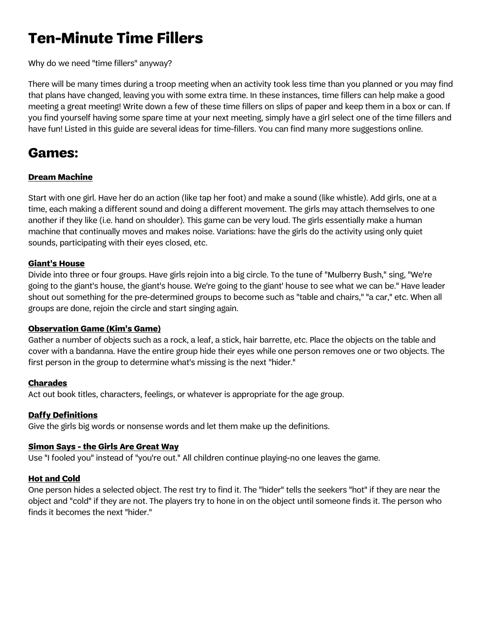# **Ten-Minute Time Fillers**

Why do we need "time fillers" anyway?

There will be many times during a troop meeting when an activity took less time than you planned or you may find that plans have changed, leaving you with some extra time. In these instances, time fillers can help make a good meeting a great meeting! Write down a few of these time fillers on slips of paper and keep them in a box or can. If you find yourself having some spare time at your next meeting, simply have a girl select one of the time fillers and have fun! Listed in this guide are several ideas for time-fillers. You can find many more suggestions online.

## **Games:**

## **Dream Machine**

Start with one girl. Have her do an action (like tap her foot) and make a sound (like whistle). Add girls, one at a time, each making a different sound and doing a different movement. The girls may attach themselves to one another if they like (i.e. hand on shoulder). This game can be very loud. The girls essentially make a human machine that continually moves and makes noise. Variations: have the girls do the activity using only quiet sounds, participating with their eyes closed, etc.

## **Giant's House**

Divide into three or four groups. Have girls rejoin into a big circle. To the tune of "Mulberry Bush," sing, "We're going to the giant's house, the giant's house. We're going to the giant' house to see what we can be." Have leader shout out something for the pre-determined groups to become such as "table and chairs," "a car," etc. When all groups are done, rejoin the circle and start singing again.

## **Observation Game (Kim's Game)**

Gather a number of objects such as a rock, a leaf, a stick, hair barrette, etc. Place the objects on the table and cover with a bandanna. Have the entire group hide their eyes while one person removes one or two objects. The first person in the group to determine what's missing is the next "hider."

## **Charades**

Act out book titles, characters, feelings, or whatever is appropriate for the age group.

## **Daffy Definitions**

Give the girls big words or nonsense words and let them make up the definitions.

## **Simon Says - the Girls Are Great Way**

Use "I fooled you" instead of "you're out." All children continue playing-no one leaves the game.

## **Hot and Cold**

One person hides a selected object. The rest try to find it. The "hider" tells the seekers "hot" if they are near the object and "cold" if they are not. The players try to hone in on the object until someone finds it. The person who finds it becomes the next "hider."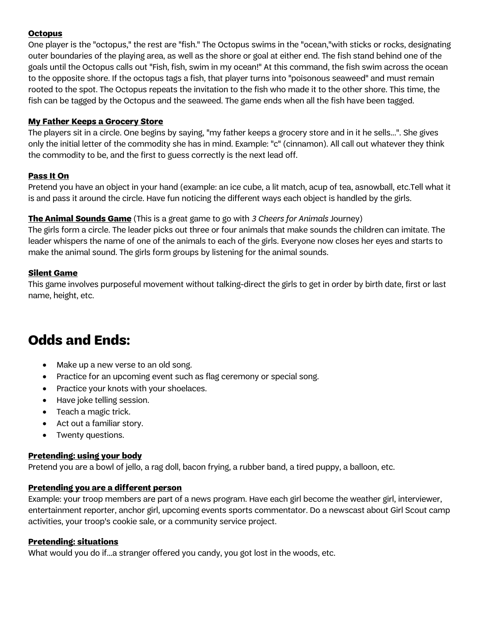## **Octopus**

One player is the "octopus," the rest are "fish." The Octopus swims in the "ocean,"with sticks or rocks, designating outer boundaries of the playing area, as well as the shore or goal at either end. The fish stand behind one of the goals until the Octopus calls out "Fish, fish, swim in my ocean!" At this command, the fish swim across the ocean to the opposite shore. If the octopus tags a fish, that player turns into "poisonous seaweed" and must remain rooted to the spot. The Octopus repeats the invitation to the fish who made it to the other shore. This time, the fish can be tagged by the Octopus and the seaweed. The game ends when all the fish have been tagged.

### **My Father Keeps a Grocery Store**

The players sit in a circle. One begins by saying, "my father keeps a grocery store and in it he sells...". She gives only the initial letter of the commodity she has in mind. Example: "c" (cinnamon). All call out whatever they think the commodity to be, and the first to guess correctly is the next lead off.

## **Pass It On**

Pretend you have an object in your hand (example: an ice cube, a lit match, acup of tea, asnowball, etc.Tell what it is and pass it around the circle. Have fun noticing the different ways each object is handled by the girls.

## **The Animal Sounds Game** (This is a great game to go with 3 Cheers for Animals Journey)

The girls form a circle. The leader picks out three or four animals that make sounds the children can imitate. The leader whispers the name of one of the animals to each of the girls. Everyone now closes her eyes and starts to make the animal sound. The girls form groups by listening for the animal sounds.

#### **Silent Game**

This game involves purposeful movement without talking-direct the girls to get in order by birth date, first or last name, height, etc.

## **Odds and Ends:**

- Make up a new verse to an old song.
- Practice for an upcoming event such as flag ceremony or special song.
- Practice your knots with your shoelaces.
- Have joke telling session.
- Teach a magic trick.
- Act out a familiar story.
- Twenty questions.

## **Pretending: using your body**

Pretend you are a bowl of jello, a rag doll, bacon frying, a rubber band, a tired puppy, a balloon, etc.

## **Pretending you are a different person**

Example: your troop members are part of a news program. Have each girl become the weather girl, interviewer, entertainment reporter, anchor girl, upcoming events sports commentator. Do a newscast about Girl Scout camp activities, your troop's cookie sale, or a community service project.

## **Pretending: situations**

What would you do if...a stranger offered you candy, you got lost in the woods, etc.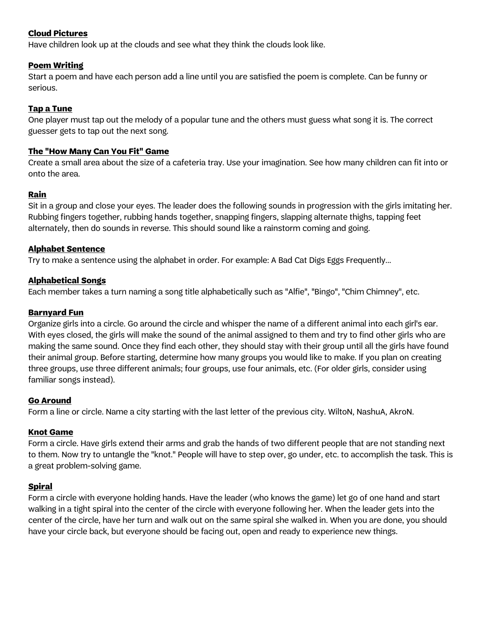## **Cloud Pictures**

Have children look up at the clouds and see what they think the clouds look like.

### **Poem Writing**

Start a poem and have each person add a line until you are satisfied the poem is complete. Can be funny or serious.

## **Tap a Tune**

One player must tap out the melody of a popular tune and the others must guess what song it is. The correct guesser gets to tap out the next song.

#### **The "How Many Can You Fit" Game**

Create a small area about the size of a cafeteria tray. Use your imagination. See how many children can fit into or onto the area.

#### **Rain**

Sit in a group and close your eyes. The leader does the following sounds in progression with the girls imitating her. Rubbing fingers together, rubbing hands together, snapping fingers, slapping alternate thighs, tapping feet alternately, then do sounds in reverse. This should sound like a rainstorm coming and going.

## **Alphabet Sentence**

Try to make a sentence using the alphabet in order. For example: A Bad Cat Digs Eggs Frequently...

## **Alphabetical Songs**

Each member takes a turn naming a song title alphabetically such as "Alfie", "Bingo", "Chim Chimney", etc.

#### **Barnyard Fun**

Organize girls into a circle. Go around the circle and whisper the name of a different animal into each girl's ear. With eyes closed, the girls will make the sound of the animal assigned to them and try to find other girls who are making the same sound. Once they find each other, they should stay with their group until all the girls have found their animal group. Before starting, determine how many groups you would like to make. If you plan on creating three groups, use three different animals; four groups, use four animals, etc. (For older girls, consider using familiar songs instead).

#### **Go Around**

Form a line or circle. Name a city starting with the last letter of the previous city. WiltoN, NashuA, AkroN.

## **Knot Game**

Form a circle. Have girls extend their arms and grab the hands of two different people that are not standing next to them. Now try to untangle the "knot." People will have to step over, go under, etc. to accomplish the task. This is a great problem-solving game.

#### **Spiral**

Form a circle with everyone holding hands. Have the leader (who knows the game) let go of one hand and start walking in a tight spiral into the center of the circle with everyone following her. When the leader gets into the center of the circle, have her turn and walk out on the same spiral she walked in. When you are done, you should have your circle back, but everyone should be facing out, open and ready to experience new things.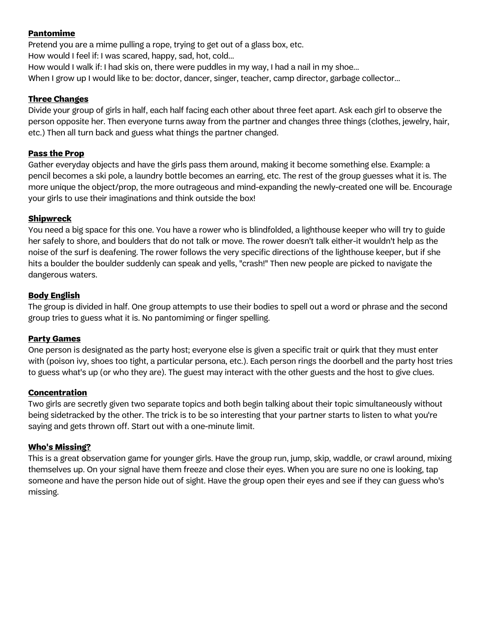## **Pantomime**

Pretend you are a mime pulling a rope, trying to get out of a glass box, etc. How would I feel if: I was scared, happy, sad, hot, cold... How would I walk if: I had skis on, there were puddles in my way, I had a nail in my shoe... When I grow up I would like to be: doctor, dancer, singer, teacher, camp director, garbage collector...

#### **Three Changes**

Divide your group of girls in half, each half facing each other about three feet apart. Ask each girl to observe the person opposite her. Then everyone turns away from the partner and changes three things (clothes, jewelry, hair, etc.) Then all turn back and guess what things the partner changed.

#### **Pass the Prop**

Gather everyday objects and have the girls pass them around, making it become something else. Example: a pencil becomes a ski pole, a laundry bottle becomes an earring, etc. The rest of the group guesses what it is. The more unique the object/prop, the more outrageous and mind-expanding the newly-created one will be. Encourage your girls to use their imaginations and think outside the box!

#### **Shipwreck**

You need a big space for this one. You have a rower who is blindfolded, a lighthouse keeper who will try to guide her safely to shore, and boulders that do not talk or move. The rower doesn't talk either-it wouldn't help as the noise of the surf is deafening. The rower follows the very specific directions of the lighthouse keeper, but if she hits a boulder the boulder suddenly can speak and yells, "crash!" Then new people are picked to navigate the dangerous waters.

#### **Body English**

The group is divided in half. One group attempts to use their bodies to spell out a word or phrase and the second group tries to guess what it is. No pantomiming or finger spelling.

#### **Party Games**

One person is designated as the party host; everyone else is given a specific trait or quirk that they must enter with (poison ivy, shoes too tight, a particular persona, etc.). Each person rings the doorbell and the party host tries to guess what's up (or who they are). The guest may interact with the other guests and the host to give clues.

#### **Concentration**

Two girls are secretly given two separate topics and both begin talking about their topic simultaneously without being sidetracked by the other. The trick is to be so interesting that your partner starts to listen to what you're saying and gets thrown off. Start out with a one-minute limit.

#### **Who's Missing?**

This is a great observation game for younger girls. Have the group run, jump, skip, waddle, or crawl around, mixing themselves up. On your signal have them freeze and close their eyes. When you are sure no one is looking, tap someone and have the person hide out of sight. Have the group open their eyes and see if they can guess who's missing.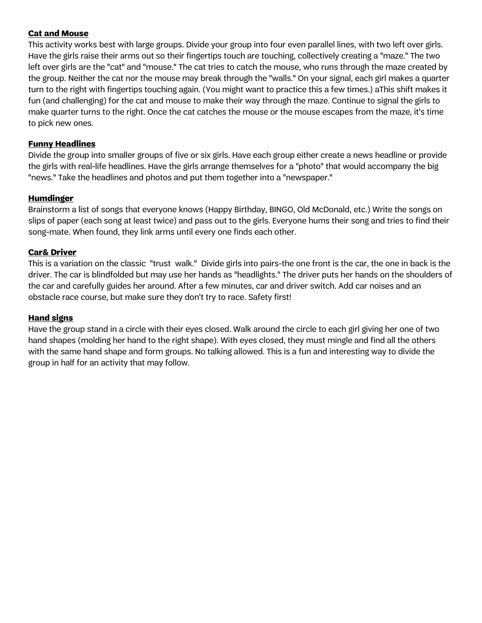## **Cat and Mouse**

This activity works best with large groups. Divide your group into four even parallel lines, with two left over girls. Have the girls raise their arms out so their fingertips touch are touching, collectively creating a "maze." The two left over girls are the "cat" and "mouse." The cat tries to catch the mouse, who runs through the maze created by the group. Neither the cat nor the mouse may break through the "walls." On your signal, each girl makes a quarter turn to the right with fingertips touching again. (You might want to practice this a few times.) aThis shift makes it fun (and challenging) for the cat and mouse to make their way through the maze. Continue to signal the girls to make quarter turns to the right. Once the cat catches the mouse or the mouse escapes from the maze, it's time to pick new ones.

### **Funny Headlines**

Divide the group into smaller groups of five or six girls. Have each group either create a news headline or provide the girls with real-life headlines. Have the girls arrange themselves for a "photo" that would accompany the big "news." Take the headlines and photos and put them together into a "newspaper."

#### **Humdinger**

Brainstorm a list of songs that everyone knows (Happy Birthday, BINGO, Old McDonald, etc.) Write the songs on slips of paper (each song at least twice) and pass out to the girls. Everyone hums their song and tries to find their song-mate. When found, they link arms until every one finds each other.

#### **Car& Driver**

This is a variation on the classic "trust walk." Divide girls into pairs-the one front is the car, the one in back is the driver. The car is blindfolded but may use her hands as "headlights." The driver puts her hands on the shoulders of the car and carefully guides her around. After a few minutes, car and driver switch. Add car noises and an obstacle race course, but make sure they don't try to race. Safety first!

## **Hand signs**

Have the group stand in a circle with their eyes closed. Walk around the circle to each girl giving her one of two hand shapes (molding her hand to the right shape). With eyes closed, they must mingle and find all the others with the same hand shape and form groups. No talking allowed. This is a fun and interesting way to divide the group in half for an activity that may follow.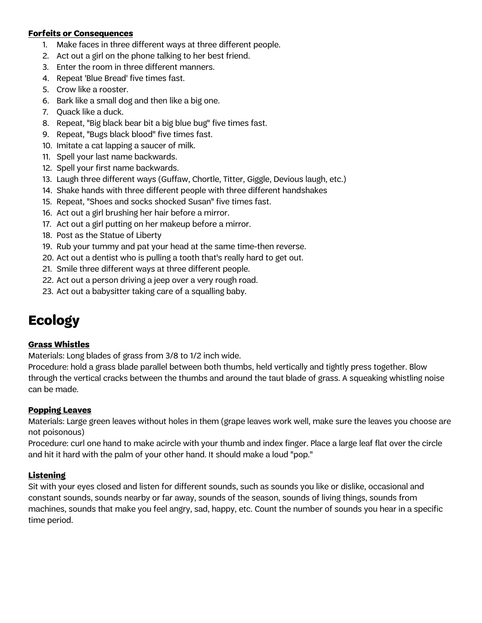#### **Forfeits or Consequences**

- 1. Make faces in three different ways at three different people.
- 2. Act out a girl on the phone talking to her best friend.
- 3. Enter the room in three different manners.
- 4. Repeat 'Blue Bread' five times fast.
- 5. Crow like a rooster.
- 6. Bark like a small dog and then like a big one.
- 7. Quack like a duck.
- 8. Repeat, "Big black bear bit a big blue bug" five times fast.
- 9. Repeat, "Bugs black blood" five times fast.
- 10. Imitate a cat lapping a saucer of milk.
- 11. Spell your last name backwards.
- 12. Spell your first name backwards.
- 13. Laugh three different ways (Guffaw, Chortle, Titter, Giggle, Devious laugh, etc.)
- 14. Shake hands with three different people with three different handshakes
- 15. Repeat, "Shoes and socks shocked Susan" five times fast.
- 16. Act out a girl brushing her hair before a mirror.
- 17. Act out a girl putting on her makeup before a mirror.
- 18. Post as the Statue of Liberty
- 19. Rub your tummy and pat your head at the same time-then reverse.
- 20. Act out a dentist who is pulling a tooth that's really hard to get out.
- 21. Smile three different ways at three different people.
- 22. Act out a person driving a jeep over a very rough road.
- 23. Act out a babysitter taking care of a squalling baby.

# **Ecology**

## **Grass Whistles**

Materials: Long blades of grass from 3/8 to 1/2 inch wide.

Procedure: hold a grass blade parallel between both thumbs, held vertically and tightly press together. Blow through the vertical cracks between the thumbs and around the taut blade of grass. A squeaking whistling noise can be made.

## **Popping Leaves**

Materials: Large green leaves without holes in them (grape leaves work well, make sure the leaves you choose are not poisonous)

Procedure: curl one hand to make acircle with your thumb and index finger. Place a large leaf flat over the circle and hit it hard with the palm of your other hand. It should make a loud "pop."

## **Listening**

Sit with your eyes closed and listen for different sounds, such as sounds you like or dislike, occasional and constant sounds, sounds nearby or far away, sounds of the season, sounds of living things, sounds from machines, sounds that make you feel angry, sad, happy, etc. Count the number of sounds you hear in a specific time period.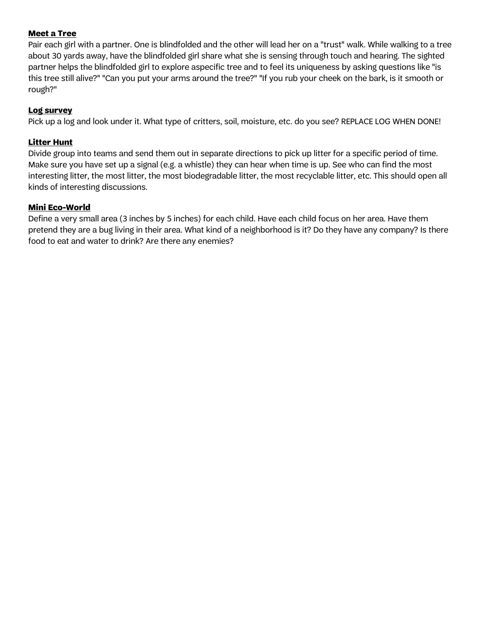## **Meet a Tree**

Pair each girl with a partner. One is blindfolded and the other will lead her on a "trust" walk. While walking to a tree about 30 yards away, have the blindfolded girl share what she is sensing through touch and hearing. The sighted partner helps the blindfolded girl to explore aspecific tree and to feel its uniqueness by asking questions like "is this tree still alive?" "Can you put your arms around the tree?" "If you rub your cheek on the bark, is it smooth or rough?"

#### **Log survey**

Pick up a log and look under it. What type of critters, soil, moisture, etc. do you see? REPLACE LOG WHEN DONE!

## **Litter Hunt**

Divide group into teams and send them out in separate directions to pick up litter for a specific period of time. Make sure you have set up a signal (e.g. a whistle) they can hear when time is up. See who can find the most interesting litter, the most litter, the most biodegradable litter, the most recyclable litter, etc. This should open all kinds of interesting discussions.

#### **Mini Eco-World**

Define a very small area (3 inches by 5 inches) for each child. Have each child focus on her area. Have them pretend they are a bug living in their area. What kind of a neighborhood is it? Do they have any company? Is there food to eat and water to drink? Are there any enemies?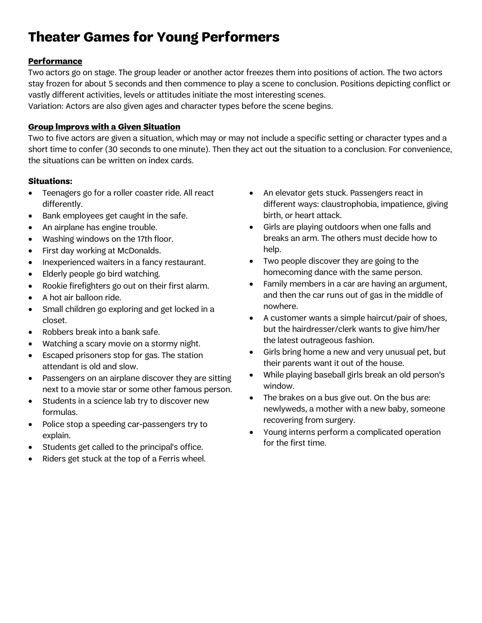# **Theater Games for Young Performers**

## **Performance**

Two actors go on stage. The group leader or another actor freezes them into positions of action. The two actors stay frozen for about 5 seconds and then commence to play a scene to conclusion. Positions depicting conflict or vastly different activities, levels or attitudes initiate the most interesting scenes. Variation: Actors are also given ages and character types before the scene begins.

## **Group lmprovs with a Given Situation**

Two to five actors are given a situation, which may or may not include a specific setting or character types and a short time to confer (30 seconds to one minute). Then they act out the situation to a conclusion. For convenience, the situations can be written on index cards.

## **Situations:**

- Teenagers go for a roller coaster ride. All react differently.
- Bank employees get caught in the safe.
- An airplane has engine trouble.
- Washing windows on the 17th floor.
- First day working at McDonalds.
- Inexperienced waiters in a fancy restaurant.
- Elderly people go bird watching.
- Rookie firefighters go out on their first alarm.
- A hot air balloon ride.
- Small children go exploring and get locked in a closet.
- Robbers break into a bank safe.
- Watching a scary movie on a stormy night.
- Escaped prisoners stop for gas. The station attendant is old and slow.
- Passengers on an airplane discover they are sitting next to a movie star or some other famous person.
- Students in a science lab try to discover new formulas.
- Police stop a speeding car-passengers try to explain.
- Students get called to the principal's office.
- Riders get stuck at the top of a Ferris wheel.
- An elevator gets stuck. Passengers react in different ways: claustrophobia, impatience, giving birth, or heart attack.
- Girls are playing outdoors when one falls and breaks an arm. The others must decide how to help.
- Two people discover they are going to the homecoming dance with the same person.
- Family members in a car are having an argument, and then the car runs out of gas in the middle of nowhere.
- A customer wants a simple haircut/pair of shoes, but the hairdresser/clerk wants to give him/her the latest outrageous fashion.
- Girls bring home a new and very unusual pet, but their parents want it out of the house.
- While playing baseball girls break an old person's window.
- The brakes on a bus give out. On the bus are: newlyweds, a mother with a new baby, someone recovering from surgery.
- Young interns perform a complicated operation for the first time.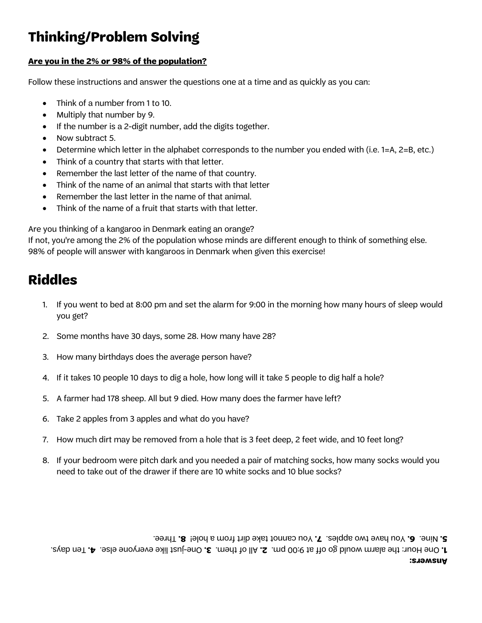# **Thinking/Problem Solving**

## **Are you in the 2% or 98% of the population?**

Follow these instructions and answer the questions one at a time and as quickly as you can:

- Think of a number from 1 to 10.
- Multiply that number by 9.
- If the number is a 2-digit number, add the digits together.
- Now subtract 5.
- Determine which letter in the alphabet corresponds to the number you ended with (i.e. 1=A, 2=B, etc.)
- Think of a country that starts with that letter.
- Remember the last letter of the name of that country.
- Think of the name of an animal that starts with that letter
- Remember the last letter in the name of that animal.
- Think of the name of a fruit that starts with that letter.

Are you thinking of a kangaroo in Denmark eating an orange?

If not, you're among the 2% of the population whose minds are different enough to think of something else. 98% of people will answer with kangaroos in Denmark when given this exercise!

## **Riddles**

- 1. If you went to bed at 8:00 pm and set the alarm for 9:00 in the morning how many hours of sleep would you get?
- 2. Some months have 30 days, some 28. How many have 28?
- 3. How many birthdays does the average person have?
- 4. If it takes 10 people 10 days to dig a hole, how long will it take 5 people to dig half a hole?
- 5. A farmer had 178 sheep. All but 9 died. How many does the farmer have left?
- 6. Take 2 apples from 3 apples and what do you have?
- 7. How much dirt may be removed from a hole that is 3 feet deep, 2 feet wide, and 10 feet long?
- 8. If your bedroom were pitch dark and you needed a pair of matching socks, how many socks would you need to take out of the drawer if there are 10 white socks and 10 blue socks?

**5.** Nine. **6.** You have two apples. **7.** You cannot take dirt from a hole! **8.** Three.

T. One Hour: the alarm would go off at 9:00 pm. 2. All of them. 3. One-just like everyone else. 4. Ten days.

#### **Answers:**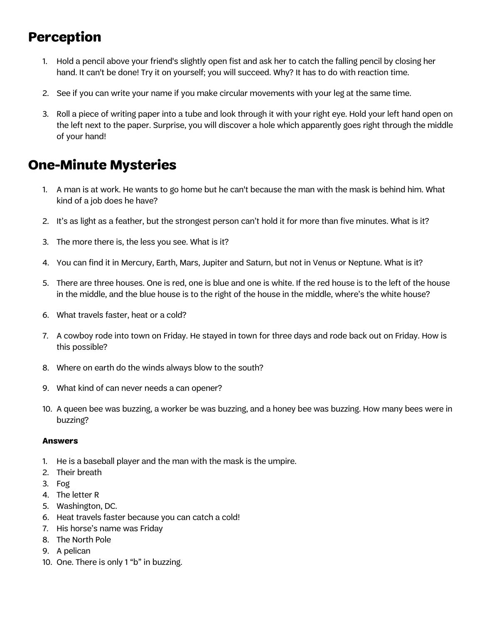## **Perception**

- 1. Hold a pencil above your friend's slightly open fist and ask her to catch the falling pencil by closing her hand. It can't be done! Try it on yourself; you will succeed. Why? It has to do with reaction time.
- 2. See if you can write your name if you make circular movements with your leg at the same time.
- 3. Roll a piece of writing paper into a tube and look through it with your right eye. Hold your left hand open on the left next to the paper. Surprise, you will discover a hole which apparently goes right through the middle of your hand!

## **One-Minute Mysteries**

- 1. A man is at work. He wants to go home but he can't because the man with the mask is behind him. What kind of a job does he have?
- 2. It's as light as a feather, but the strongest person can't hold it for more than five minutes. What is it?
- 3. The more there is, the less you see. What is it?
- 4. You can find it in Mercury, Earth, Mars, Jupiter and Saturn, but not in Venus or Neptune. What is it?
- 5. There are three houses. One is red, one is blue and one is white. If the red house is to the left of the house in the middle, and the blue house is to the right of the house in the middle, where's the white house?
- 6. What travels faster, heat or a cold?
- 7. A cowboy rode into town on Friday. He stayed in town for three days and rode back out on Friday. How is this possible?
- 8. Where on earth do the winds always blow to the south?
- 9. What kind of can never needs a can opener?
- 10. A queen bee was buzzing, a worker be was buzzing, and a honey bee was buzzing. How many bees were in buzzing?

#### **Answers**

- 1. He is a baseball player and the man with the mask is the umpire.
- 2. Their breath
- 3. Fog
- 4. The letter R
- 5. Washington, DC.
- 6. Heat travels faster because you can catch a cold!
- 7. His horse's name was Friday
- 8. The North Pole
- 9. A pelican
- 10. One. There is only 1 "b" in buzzing.